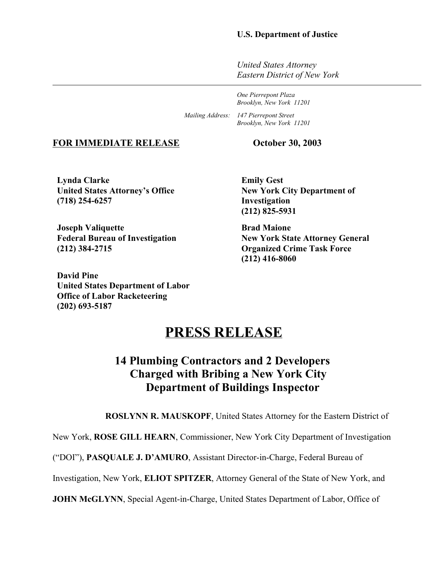### **U.S. Department of Justice**

*United States Attorney Eastern District of New York*

*One Pierrepont Plaza Brooklyn, New York 11201*

*Mailing Address: 147 Pierrepont Street Brooklyn, New York 11201*

#### **FOR IMMEDIATE RELEASE October 30, 2003**

**Lynda Clarke United States Attorney's Office (718) 254-6257**

**Joseph Valiquette Federal Bureau of Investigation (212) 384-2715**

**David Pine United States Department of Labor Office of Labor Racketeering (202) 693-5187**

**Emily Gest New York City Department of Investigation (212) 825-5931** 

**Brad Maione New York State Attorney General Organized Crime Task Force (212) 416-8060**

# **PRESS RELEASE**

# **14 Plumbing Contractors and 2 Developers Charged with Bribing a New York City Department of Buildings Inspector**

**ROSLYNN R. MAUSKOPF**, United States Attorney for the Eastern District of

New York, **ROSE GILL HEARN**, Commissioner, New York City Department of Investigation

("DOI"), **PASQUALE J. D'AMURO**, Assistant Director-in-Charge, Federal Bureau of

Investigation, New York, **ELIOT SPITZER**, Attorney General of the State of New York, and

**JOHN McGLYNN, Special Agent-in-Charge, United States Department of Labor, Office of**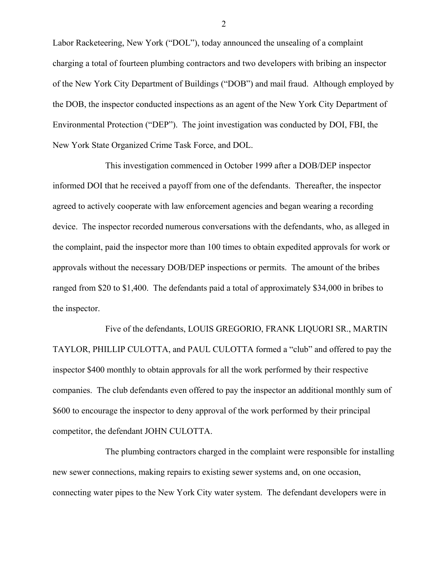Labor Racketeering, New York ("DOL"), today announced the unsealing of a complaint charging a total of fourteen plumbing contractors and two developers with bribing an inspector of the New York City Department of Buildings ("DOB") and mail fraud. Although employed by the DOB, the inspector conducted inspections as an agent of the New York City Department of Environmental Protection ("DEP"). The joint investigation was conducted by DOI, FBI, the New York State Organized Crime Task Force, and DOL.

This investigation commenced in October 1999 after a DOB/DEP inspector informed DOI that he received a payoff from one of the defendants. Thereafter, the inspector agreed to actively cooperate with law enforcement agencies and began wearing a recording device. The inspector recorded numerous conversations with the defendants, who, as alleged in the complaint, paid the inspector more than 100 times to obtain expedited approvals for work or approvals without the necessary DOB/DEP inspections or permits. The amount of the bribes ranged from \$20 to \$1,400. The defendants paid a total of approximately \$34,000 in bribes to the inspector.

Five of the defendants, LOUIS GREGORIO, FRANK LIQUORI SR., MARTIN TAYLOR, PHILLIP CULOTTA, and PAUL CULOTTA formed a "club" and offered to pay the inspector \$400 monthly to obtain approvals for all the work performed by their respective companies. The club defendants even offered to pay the inspector an additional monthly sum of \$600 to encourage the inspector to deny approval of the work performed by their principal competitor, the defendant JOHN CULOTTA.

The plumbing contractors charged in the complaint were responsible for installing new sewer connections, making repairs to existing sewer systems and, on one occasion, connecting water pipes to the New York City water system. The defendant developers were in

2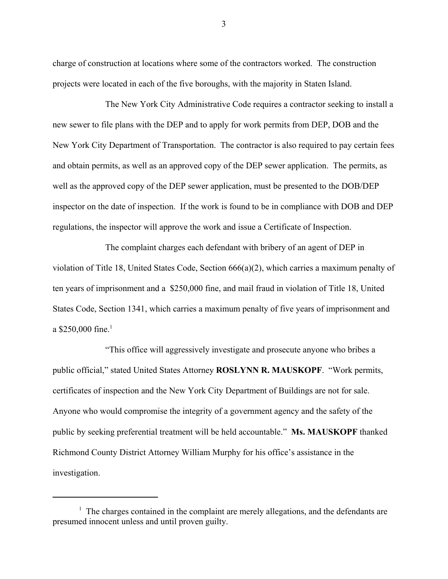charge of construction at locations where some of the contractors worked. The construction projects were located in each of the five boroughs, with the majority in Staten Island.

The New York City Administrative Code requires a contractor seeking to install a new sewer to file plans with the DEP and to apply for work permits from DEP, DOB and the New York City Department of Transportation. The contractor is also required to pay certain fees and obtain permits, as well as an approved copy of the DEP sewer application. The permits, as well as the approved copy of the DEP sewer application, must be presented to the DOB/DEP inspector on the date of inspection. If the work is found to be in compliance with DOB and DEP regulations, the inspector will approve the work and issue a Certificate of Inspection.

The complaint charges each defendant with bribery of an agent of DEP in violation of Title 18, United States Code, Section 666(a)(2), which carries a maximum penalty of ten years of imprisonment and a \$250,000 fine, and mail fraud in violation of Title 18, United States Code, Section 1341, which carries a maximum penalty of five years of imprisonment and a \$250,000 fine.<sup>1</sup>

"This office will aggressively investigate and prosecute anyone who bribes a public official," stated United States Attorney **ROSLYNN R. MAUSKOPF**. "Work permits, certificates of inspection and the New York City Department of Buildings are not for sale. Anyone who would compromise the integrity of a government agency and the safety of the public by seeking preferential treatment will be held accountable." **Ms. MAUSKOPF** thanked Richmond County District Attorney William Murphy for his office's assistance in the investigation.

3

<sup>&</sup>lt;sup>1</sup> The charges contained in the complaint are merely allegations, and the defendants are presumed innocent unless and until proven guilty.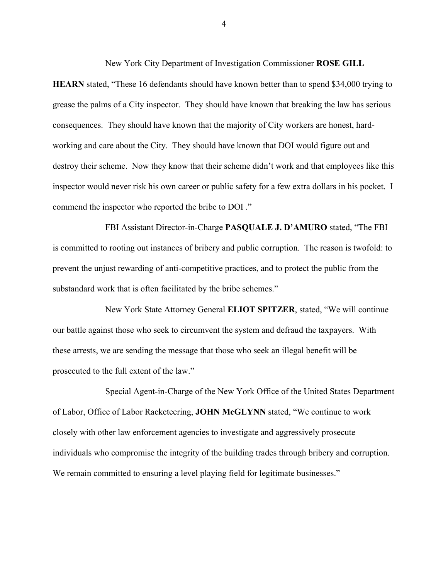**HEARN** stated, "These 16 defendants should have known better than to spend \$34,000 trying to grease the palms of a City inspector. They should have known that breaking the law has serious consequences. They should have known that the majority of City workers are honest, hardworking and care about the City. They should have known that DOI would figure out and destroy their scheme. Now they know that their scheme didn't work and that employees like this inspector would never risk his own career or public safety for a few extra dollars in his pocket. I commend the inspector who reported the bribe to DOI ."

FBI Assistant Director-in-Charge **PASQUALE J. D'AMURO** stated, "The FBI is committed to rooting out instances of bribery and public corruption. The reason is twofold: to prevent the unjust rewarding of anti-competitive practices, and to protect the public from the substandard work that is often facilitated by the bribe schemes."

New York State Attorney General **ELIOT SPITZER**, stated, "We will continue our battle against those who seek to circumvent the system and defraud the taxpayers. With these arrests, we are sending the message that those who seek an illegal benefit will be prosecuted to the full extent of the law."

Special Agent-in-Charge of the New York Office of the United States Department of Labor, Office of Labor Racketeering, **JOHN McGLYNN** stated, "We continue to work closely with other law enforcement agencies to investigate and aggressively prosecute individuals who compromise the integrity of the building trades through bribery and corruption. We remain committed to ensuring a level playing field for legitimate businesses."

4

New York City Department of Investigation Commissioner **ROSE GILL**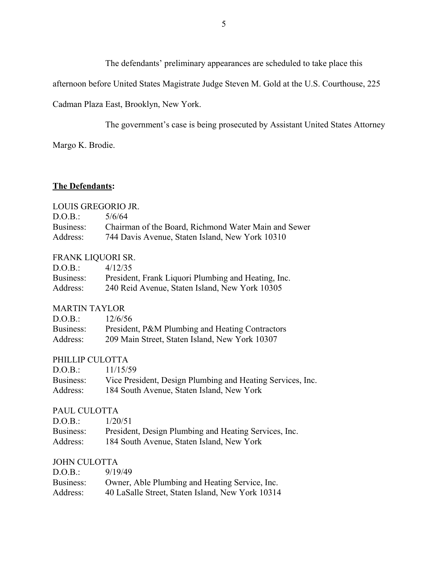The defendants' preliminary appearances are scheduled to take place this

afternoon before United States Magistrate Judge Steven M. Gold at the U.S. Courthouse, 225

Cadman Plaza East, Brooklyn, New York.

The government's case is being prosecuted by Assistant United States Attorney

Margo K. Brodie.

## **The Defendants:**

#### LOUIS GREGORIO JR.

| D.O.B.:   | 5/6/64                                               |
|-----------|------------------------------------------------------|
| Business: | Chairman of the Board, Richmond Water Main and Sewer |
| Address:  | 744 Davis Avenue, Staten Island, New York 10310      |

### FRANK LIQUORI SR.

| D.O.B.:   | 4/12/35                                             |
|-----------|-----------------------------------------------------|
| Business: | President, Frank Liquori Plumbing and Heating, Inc. |
| Address:  | 240 Reid Avenue, Staten Island, New York 10305      |

#### MARTIN TAYLOR

| D.O.B.:   | 12/6/56                                         |
|-----------|-------------------------------------------------|
| Business: | President, P&M Plumbing and Heating Contractors |
| Address:  | 209 Main Street, Staten Island, New York 10307  |

### PHILLIP CULOTTA

| D.O.B.:   | 11/15/59                                                   |
|-----------|------------------------------------------------------------|
| Business: | Vice President, Design Plumbing and Heating Services, Inc. |
| Address:  | 184 South Avenue, Staten Island, New York                  |

## PAUL CULOTTA

| D.O.B.:   | 1/20/51                                               |
|-----------|-------------------------------------------------------|
| Business: | President, Design Plumbing and Heating Services, Inc. |
| Address:  | 184 South Avenue, Staten Island, New York             |

#### JOHN CULOTTA

| D.O.B.:   | 9/19/49                                          |
|-----------|--------------------------------------------------|
| Business: | Owner, Able Plumbing and Heating Service, Inc.   |
| Address:  | 40 LaSalle Street, Staten Island, New York 10314 |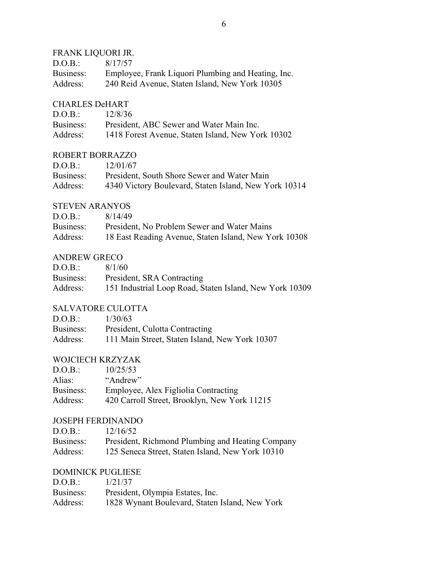## FRANK LIQUORI JR.

| D.O.B.:   | 8/17/57                                            |
|-----------|----------------------------------------------------|
| Business: | Employee, Frank Liquori Plumbing and Heating, Inc. |
| Address:  | 240 Reid Avenue, Staten Island, New York 10305     |

## CHARLES DeHART

| D.O.B.:   | 12/8/36                                           |
|-----------|---------------------------------------------------|
| Business: | President, ABC Sewer and Water Main Inc.          |
| Address:  | 1418 Forest Avenue, Staten Island, New York 10302 |

## ROBERT BORRAZZO

| D.O.B.:   | 12/01/67                                              |
|-----------|-------------------------------------------------------|
| Business: | President, South Shore Sewer and Water Main           |
| Address:  | 4340 Victory Boulevard, Staten Island, New York 10314 |

## STEVEN ARANYOS

| D.O.B.:   | 8/14/49                                               |
|-----------|-------------------------------------------------------|
| Business: | President, No Problem Sewer and Water Mains           |
| Address:  | 18 East Reading Avenue, Staten Island, New York 10308 |

## ANDREW GRECO

| D.O.B.:   | 8/1/60                                                  |
|-----------|---------------------------------------------------------|
| Business: | President, SRA Contracting                              |
| Address:  | 151 Industrial Loop Road, Staten Island, New York 10309 |

## SALVATORE CULOTTA

| D.O.B.:   | 1/30/63                                        |
|-----------|------------------------------------------------|
| Business: | President, Culotta Contracting                 |
| Address:  | 111 Main Street, Staten Island, New York 10307 |

## WOJCIECH KRZYZAK

| D.O.B.:   | 10/25/53                                     |
|-----------|----------------------------------------------|
| Alias:    | "Andrew"                                     |
| Business: | Employee, Alex Figliolia Contracting         |
| Address:  | 420 Carroll Street, Brooklyn, New York 11215 |

## JOSEPH FERDINANDO

| D.O.B.:   | 12/16/52                                         |
|-----------|--------------------------------------------------|
| Business: | President, Richmond Plumbing and Heating Company |
| Address:  | 125 Seneca Street, Staten Island, New York 10310 |

## DOMINICK PUGLIESE

| D.O.B.:   | 1/21/37                                        |
|-----------|------------------------------------------------|
| Business: | President, Olympia Estates, Inc.               |
| Address:  | 1828 Wynant Boulevard, Staten Island, New York |